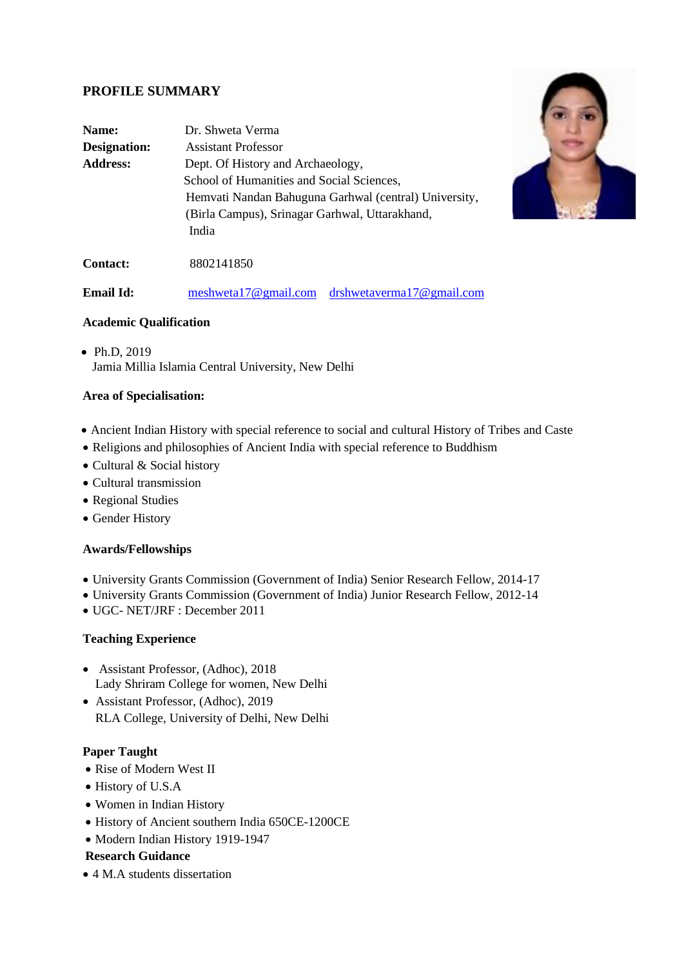# **PROFILE SUMMARY**

| Name:           | Dr. Shweta Verma                                      |
|-----------------|-------------------------------------------------------|
| Designation:    | <b>Assistant Professor</b>                            |
| <b>Address:</b> | Dept. Of History and Archaeology,                     |
|                 | School of Humanities and Social Sciences,             |
|                 | Hemvati Nandan Bahuguna Garhwal (central) University, |
|                 | (Birla Campus), Srinagar Garhwal, Uttarakhand,        |
|                 | India                                                 |
|                 |                                                       |



**Contact:** 8802141850

**Email Id:** [meshweta17@gmail.com](mailto:meshweta17@gmail.com) [drshwetaverma17@gmail.com](mailto:drshwetaverma17@gmail.com)

## **Academic Qualification**

• Ph.D, 2019 Jamia Millia Islamia Central University, New Delhi

## **Area of Specialisation:**

- Ancient Indian History with special reference to social and cultural History of Tribes and Caste
- Religions and philosophies of Ancient India with special reference to Buddhism
- Cultural & Social history
- Cultural transmission
- Regional Studies
- Gender History

# **Awards/Fellowships**

- University Grants Commission (Government of India) Senior Research Fellow, 2014-17
- University Grants Commission (Government of India) Junior Research Fellow, 2012-14
- UGC- NET/JRF : December 2011

#### **Teaching Experience**

- Assistant Professor, (Adhoc), 2018 Lady Shriram College for women, New Delhi
- Assistant Professor, (Adhoc), 2019 RLA College, University of Delhi, New Delhi

#### **Paper Taught**

- Rise of Modern West II
- History of U.S.A
- Women in Indian History
- History of Ancient southern India 650CE-1200CE
- Modern Indian History 1919-1947

#### **Research Guidance**

• 4 M.A students dissertation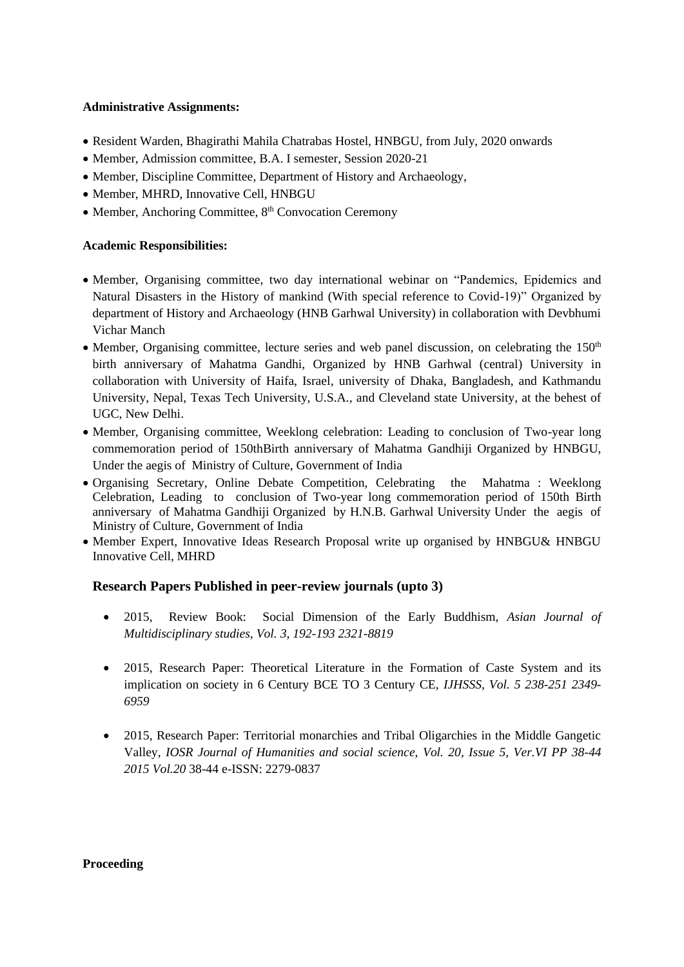## **Administrative Assignments:**

- Resident Warden, Bhagirathi Mahila Chatrabas Hostel, HNBGU, from July, 2020 onwards
- Member, Admission committee, B.A. I semester, Session 2020-21
- Member, Discipline Committee, Department of History and Archaeology,
- Member, MHRD, Innovative Cell, HNBGU
- Member, Anchoring Committee,  $8<sup>th</sup>$  Convocation Ceremony

## **Academic Responsibilities:**

- Member, Organising committee, two day international webinar on "Pandemics, Epidemics and Natural Disasters in the History of mankind (With special reference to Covid-19)" Organized by department of History and Archaeology (HNB Garhwal University) in collaboration with Devbhumi Vichar Manch
- Member, Organising committee, lecture series and web panel discussion, on celebrating the  $150<sup>th</sup>$ birth anniversary of Mahatma Gandhi, Organized by HNB Garhwal (central) University in collaboration with University of Haifa, Israel, university of Dhaka, Bangladesh, and Kathmandu University, Nepal, Texas Tech University, U.S.A., and Cleveland state University, at the behest of UGC, New Delhi.
- Member, Organising committee, Weeklong celebration: Leading to conclusion of Two-year long commemoration period of 150thBirth anniversary of Mahatma Gandhiji Organized by HNBGU, Under the aegis of Ministry of Culture, Government of India
- Organising Secretary, Online Debate Competition, Celebrating the Mahatma : Weeklong Celebration, Leading to conclusion of Two-year long commemoration period of 150th Birth anniversary of Mahatma Gandhiji Organized by H.N.B. Garhwal University Under the aegis of Ministry of Culture, Government of India
- Member Expert, Innovative Ideas Research Proposal write up organised by HNBGU& HNBGU Innovative Cell, MHRD

# **Research Papers Published in peer-review journals (upto 3)**

- 2015, Review Book: Social Dimension of the Early Buddhism, *Asian Journal of Multidisciplinary studies, Vol. 3, 192-193 2321-8819*
- 2015, Research Paper: Theoretical Literature in the Formation of Caste System and its implication on society in 6 Century BCE TO 3 Century CE, *IJHSSS*, *Vol. 5 238-251 2349- 6959*
- 2015, Research Paper: Territorial monarchies and Tribal Oligarchies in the Middle Gangetic Valley, *IOSR Journal of Humanities and social science, Vol. 20, Issue 5, Ver.VI PP 38-44 2015 Vol.20* 38-44 e-ISSN: 2279-0837

#### **Proceeding**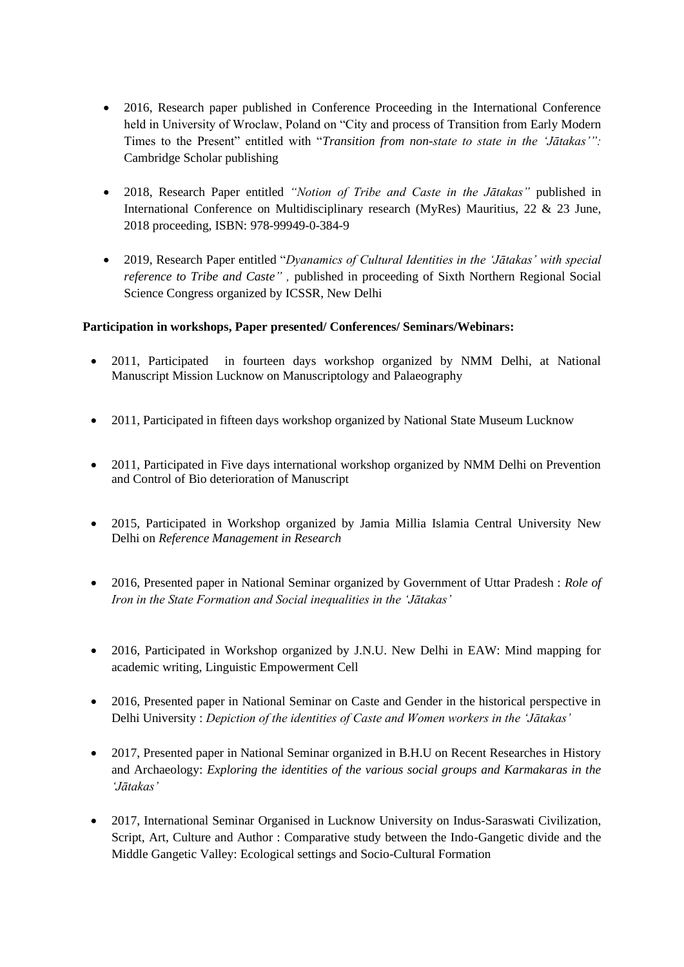- 2016, Research paper published in Conference Proceeding in the International Conference held in University of Wroclaw, Poland on "City and process of Transition from Early Modern Times to the Present" entitled with "*Transition from non-state to state in the 'Jātakas'":*  Cambridge Scholar publishing
- 2018, Research Paper entitled *"Notion of Tribe and Caste in the Jātakas"* published in International Conference on Multidisciplinary research (MyRes) Mauritius, 22 & 23 June, 2018 proceeding, ISBN: 978-99949-0-384-9
- 2019, Research Paper entitled "*Dyanamics of Cultural Identities in the 'Jātakas' with special reference to Tribe and Caste" ,* published in proceeding of Sixth Northern Regional Social Science Congress organized by ICSSR, New Delhi

# **Participation in workshops, Paper presented/ Conferences/ Seminars/Webinars:**

- 2011, Participated in fourteen days workshop organized by NMM Delhi, at National Manuscript Mission Lucknow on Manuscriptology and Palaeography
- 2011, Participated in fifteen days workshop organized by National State Museum Lucknow
- 2011, Participated in Five days international workshop organized by NMM Delhi on Prevention and Control of Bio deterioration of Manuscript
- 2015, Participated in Workshop organized by Jamia Millia Islamia Central University New Delhi on *Reference Management in Research*
- 2016, Presented paper in National Seminar organized by Government of Uttar Pradesh : *Role of Iron in the State Formation and Social inequalities in the 'Jātakas'*
- 2016, Participated in Workshop organized by J.N.U. New Delhi in EAW: Mind mapping for academic writing, Linguistic Empowerment Cell
- 2016, Presented paper in National Seminar on Caste and Gender in the historical perspective in Delhi University : *Depiction of the identities of Caste and Women workers in the 'Jātakas'*
- 2017, Presented paper in National Seminar organized in B.H.U on Recent Researches in History and Archaeology: *Exploring the identities of the various social groups and Karmakaras in the 'Jātakas'*
- 2017, International Seminar Organised in Lucknow University on Indus-Saraswati Civilization, Script, Art, Culture and Author : Comparative study between the Indo-Gangetic divide and the Middle Gangetic Valley: Ecological settings and Socio-Cultural Formation